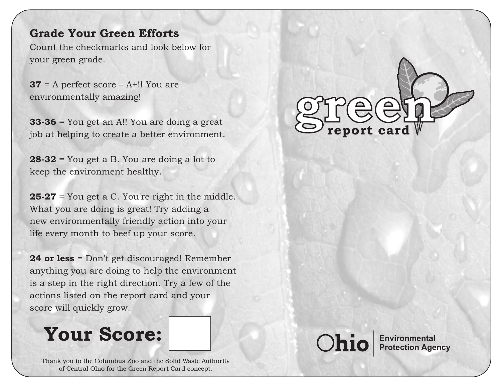# Grade Your Green Efforts

Count the checkmarks and look below for your green grade.

 $37$  = A perfect score – A+!! You are environmentally amazing!

33-36 = You get an A!! You are doing a great job at helping to create a better environment.

28-32 = You get a B. You are doing a lot to keep the environment healthy.

25-27 = You get a C. You're right in the middle. What you are doing is great! Try adding a new environmentally friendly action into your life every month to beef up your score.

24 or less = Don't get discouraged! Remember anything you are doing to help the environment is a step in the right direction. Try a few of the actions listed on the report card and your score will quickly grow.



Thank you to the Columbus Zoo and the Solid Waste Authority of Central Ohio for the Green Report Card concept.



**Protection Agency**